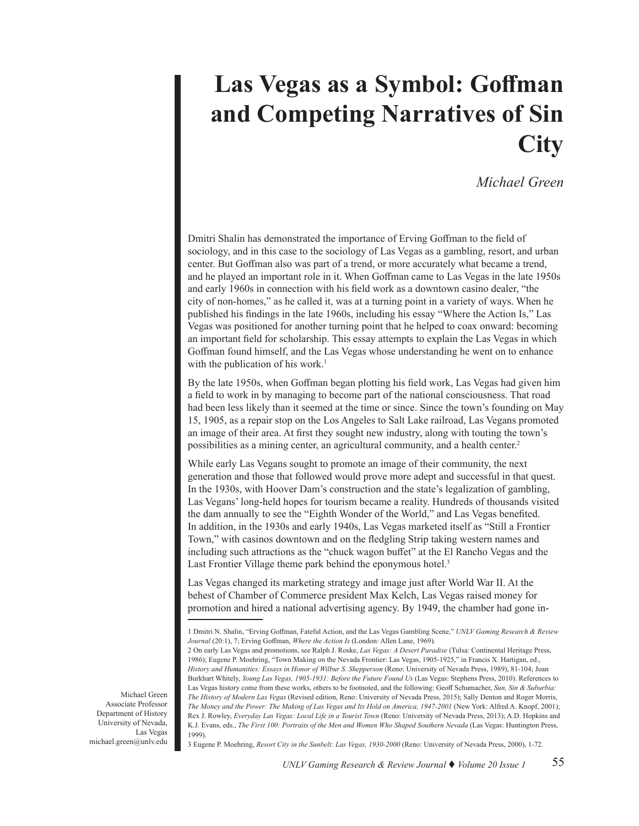## **Las Vegas as a Symbol: Goffman and Competing Narratives of Sin City**

## *Michael Green*

Dmitri Shalin has demonstrated the importance of Erving Goffman to the field of sociology, and in this case to the sociology of Las Vegas as a gambling, resort, and urban center. But Goffman also was part of a trend, or more accurately what became a trend, and he played an important role in it. When Goffman came to Las Vegas in the late 1950s and early 1960s in connection with his field work as a downtown casino dealer, "the city of non-homes," as he called it, was at a turning point in a variety of ways. When he published his findings in the late 1960s, including his essay "Where the Action Is," Las Vegas was positioned for another turning point that he helped to coax onward: becoming an important field for scholarship. This essay attempts to explain the Las Vegas in which Goffman found himself, and the Las Vegas whose understanding he went on to enhance with the publication of his work.<sup>1</sup>

By the late 1950s, when Goffman began plotting his field work, Las Vegas had given him a field to work in by managing to become part of the national consciousness. That road had been less likely than it seemed at the time or since. Since the town's founding on May 15, 1905, as a repair stop on the Los Angeles to Salt Lake railroad, Las Vegans promoted an image of their area. At first they sought new industry, along with touting the town's possibilities as a mining center, an agricultural community, and a health center.2

While early Las Vegans sought to promote an image of their community, the next generation and those that followed would prove more adept and successful in that quest. In the 1930s, with Hoover Dam's construction and the state's legalization of gambling, Las Vegans' long-held hopes for tourism became a reality. Hundreds of thousands visited the dam annually to see the "Eighth Wonder of the World," and Las Vegas benefited. In addition, in the 1930s and early 1940s, Las Vegas marketed itself as "Still a Frontier Town," with casinos downtown and on the fledgling Strip taking western names and including such attractions as the "chuck wagon buffet" at the El Rancho Vegas and the Last Frontier Village theme park behind the eponymous hotel.<sup>3</sup>

Las Vegas changed its marketing strategy and image just after World War II. At the behest of Chamber of Commerce president Max Kelch, Las Vegas raised money for promotion and hired a national advertising agency. By 1949, the chamber had gone in-

3 Eugene P. Moehring, *Resort City in the Sunbelt: Las Vegas, 1930-2000* (Reno: University of Nevada Press, 2000), 1-72.

Michael Green Associate Professor Department of History University of Nevada, Las Vegas michael.green@unlv.edu

<sup>1</sup> Dmitri N. Shalin, "Erving Goffman, Fateful Action, and the Las Vegas Gambling Scene," *UNLV Gaming Research & Review Journal* (20:1), 7; Erving Goffman, *Where the Action Is* (London: Allen Lane, 1969).

<sup>2</sup> On early Las Vegas and promotions, see Ralph J. Roske, *Las Vegas: A Desert Paradise* (Tulsa: Continental Heritage Press, 1986); Eugene P. Moehring, "Town Making on the Nevada Frontier: Las Vegas, 1905-1925," in Francis X. Hartigan, ed., *History and Humanities: Essays in Honor of Wilbur S. Shepperson* (Reno: University of Nevada Press, 1989), 81-104; Joan Burkhart Whitely, *Young Las Vegas, 1905-1931: Before the Future Found Us* (Las Vegas: Stephens Press, 2010). References to Las Vegas history come from these works, others to be footnoted, and the following: Geoff Schumacher, *Sun, Sin & Suburbia: The History of Modern Las Vegas* (Revised edition, Reno: University of Nevada Press, 2015); Sally Denton and Roger Morris, *The Money and the Power: The Making of Las Vegas and Its Hold on America, 1947-2001* (New York: Alfred A. Knopf, 2001); Rex J. Rowley, *Everyday Las Vegas: Local Life in a Tourist Town* (Reno: University of Nevada Press, 2013); A.D. Hopkins and K.J. Evans, eds., *The First 100: Portraits of the Men and Women Who Shaped Southern Nevada* (Las Vegas: Huntington Press, 1999).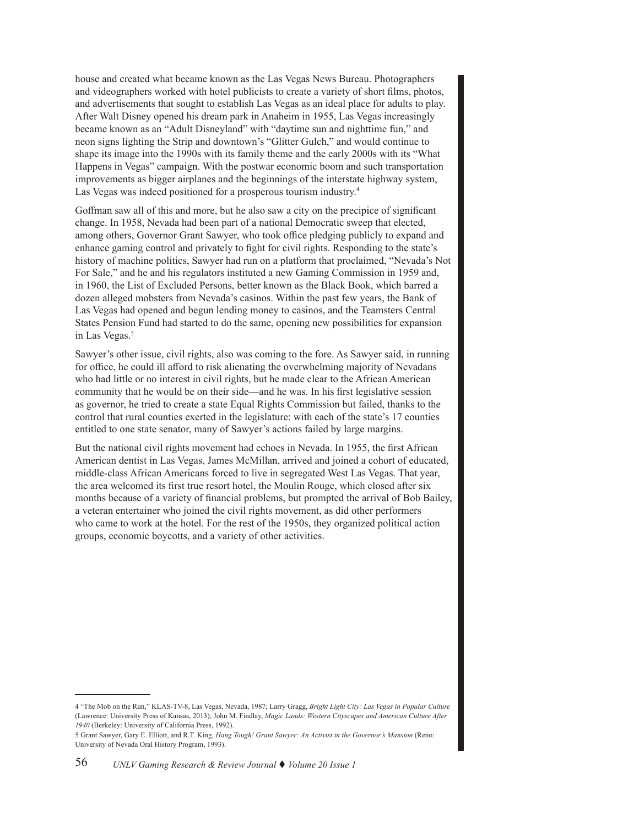house and created what became known as the Las Vegas News Bureau. Photographers and videographers worked with hotel publicists to create a variety of short films, photos, and advertisements that sought to establish Las Vegas as an ideal place for adults to play. After Walt Disney opened his dream park in Anaheim in 1955, Las Vegas increasingly became known as an "Adult Disneyland" with "daytime sun and nighttime fun," and neon signs lighting the Strip and downtown's "Glitter Gulch," and would continue to shape its image into the 1990s with its family theme and the early 2000s with its "What Happens in Vegas" campaign. With the postwar economic boom and such transportation improvements as bigger airplanes and the beginnings of the interstate highway system, Las Vegas was indeed positioned for a prosperous tourism industry.4

Goffman saw all of this and more, but he also saw a city on the precipice of significant change. In 1958, Nevada had been part of a national Democratic sweep that elected, among others, Governor Grant Sawyer, who took office pledging publicly to expand and enhance gaming control and privately to fight for civil rights. Responding to the state's history of machine politics, Sawyer had run on a platform that proclaimed, "Nevada's Not For Sale," and he and his regulators instituted a new Gaming Commission in 1959 and, in 1960, the List of Excluded Persons, better known as the Black Book, which barred a dozen alleged mobsters from Nevada's casinos. Within the past few years, the Bank of Las Vegas had opened and begun lending money to casinos, and the Teamsters Central States Pension Fund had started to do the same, opening new possibilities for expansion in Las Vegas.<sup>5</sup>

Sawyer's other issue, civil rights, also was coming to the fore. As Sawyer said, in running for office, he could ill afford to risk alienating the overwhelming majority of Nevadans who had little or no interest in civil rights, but he made clear to the African American community that he would be on their side—and he was. In his first legislative session as governor, he tried to create a state Equal Rights Commission but failed, thanks to the control that rural counties exerted in the legislature: with each of the state's 17 counties entitled to one state senator, many of Sawyer's actions failed by large margins.

But the national civil rights movement had echoes in Nevada. In 1955, the first African American dentist in Las Vegas, James McMillan, arrived and joined a cohort of educated, middle-class African Americans forced to live in segregated West Las Vegas. That year, the area welcomed its first true resort hotel, the Moulin Rouge, which closed after six months because of a variety of financial problems, but prompted the arrival of Bob Bailey, a veteran entertainer who joined the civil rights movement, as did other performers who came to work at the hotel. For the rest of the 1950s, they organized political action groups, economic boycotts, and a variety of other activities.

<sup>4 &</sup>quot;The Mob on the Run," KLAS-TV-8, Las Vegas, Nevada, 1987; Larry Gragg, *Bright Light City: Las Vegas in Popular Culture* (Lawrence: University Press of Kansas, 2013); John M. Findlay, *Magic Lands: Western Cityscapes and American Culture After 1940* (Berkeley: University of California Press, 1992).

<sup>5</sup> Grant Sawyer, Gary E. Elliott, and R.T. King, *Hang Tough! Grant Sawyer: An Activist in the Governor's Mansion* (Reno: University of Nevada Oral History Program, 1993).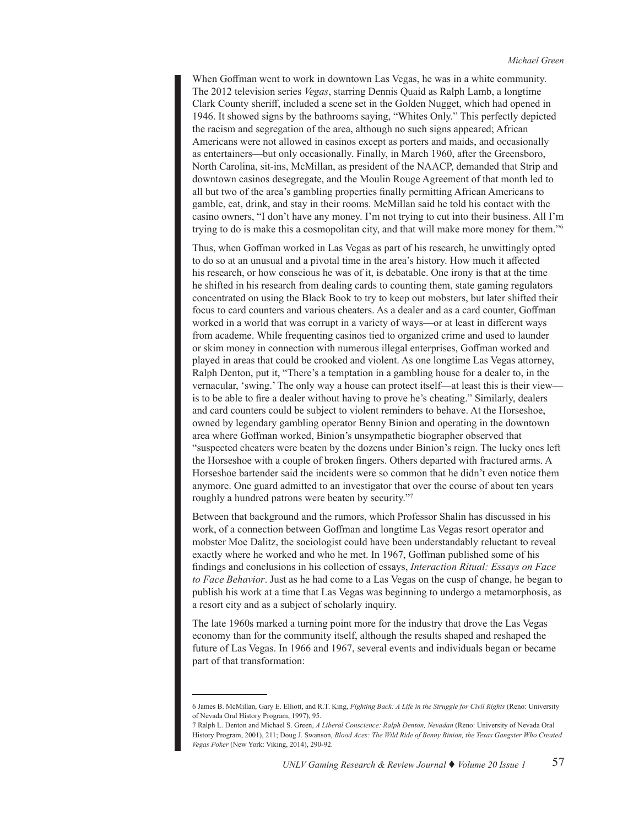When Goffman went to work in downtown Las Vegas, he was in a white community. The 2012 television series *Vegas*, starring Dennis Quaid as Ralph Lamb, a longtime Clark County sheriff, included a scene set in the Golden Nugget, which had opened in 1946. It showed signs by the bathrooms saying, "Whites Only." This perfectly depicted the racism and segregation of the area, although no such signs appeared; African Americans were not allowed in casinos except as porters and maids, and occasionally as entertainers—but only occasionally. Finally, in March 1960, after the Greensboro, North Carolina, sit-ins, McMillan, as president of the NAACP, demanded that Strip and downtown casinos desegregate, and the Moulin Rouge Agreement of that month led to all but two of the area's gambling properties finally permitting African Americans to gamble, eat, drink, and stay in their rooms. McMillan said he told his contact with the casino owners, "I don't have any money. I'm not trying to cut into their business. All I'm trying to do is make this a cosmopolitan city, and that will make more money for them."6

Thus, when Goffman worked in Las Vegas as part of his research, he unwittingly opted to do so at an unusual and a pivotal time in the area's history. How much it affected his research, or how conscious he was of it, is debatable. One irony is that at the time he shifted in his research from dealing cards to counting them, state gaming regulators concentrated on using the Black Book to try to keep out mobsters, but later shifted their focus to card counters and various cheaters. As a dealer and as a card counter, Goffman worked in a world that was corrupt in a variety of ways—or at least in different ways from academe. While frequenting casinos tied to organized crime and used to launder or skim money in connection with numerous illegal enterprises, Goffman worked and played in areas that could be crooked and violent. As one longtime Las Vegas attorney, Ralph Denton, put it, "There's a temptation in a gambling house for a dealer to, in the vernacular, 'swing.' The only way a house can protect itself—at least this is their view is to be able to fire a dealer without having to prove he's cheating." Similarly, dealers and card counters could be subject to violent reminders to behave. At the Horseshoe, owned by legendary gambling operator Benny Binion and operating in the downtown area where Goffman worked, Binion's unsympathetic biographer observed that "suspected cheaters were beaten by the dozens under Binion's reign. The lucky ones left the Horseshoe with a couple of broken fingers. Others departed with fractured arms. A Horseshoe bartender said the incidents were so common that he didn't even notice them anymore. One guard admitted to an investigator that over the course of about ten years roughly a hundred patrons were beaten by security."7

Between that background and the rumors, which Professor Shalin has discussed in his work, of a connection between Goffman and longtime Las Vegas resort operator and mobster Moe Dalitz, the sociologist could have been understandably reluctant to reveal exactly where he worked and who he met. In 1967, Goffman published some of his findings and conclusions in his collection of essays, *Interaction Ritual: Essays on Face to Face Behavior*. Just as he had come to a Las Vegas on the cusp of change, he began to publish his work at a time that Las Vegas was beginning to undergo a metamorphosis, as a resort city and as a subject of scholarly inquiry.

The late 1960s marked a turning point more for the industry that drove the Las Vegas economy than for the community itself, although the results shaped and reshaped the future of Las Vegas. In 1966 and 1967, several events and individuals began or became part of that transformation:

<sup>6</sup> James B. McMillan, Gary E. Elliott, and R.T. King, *Fighting Back: A Life in the Struggle for Civil Rights* (Reno: University of Nevada Oral History Program, 1997), 95.

<sup>7</sup> Ralph L. Denton and Michael S. Green, *A Liberal Conscience: Ralph Denton, Nevadan* (Reno: University of Nevada Oral History Program, 2001), 211; Doug J. Swanson, *Blood Aces: The Wild Ride of Benny Binion, the Texas Gangster Who Created Vegas Poker* (New York: Viking, 2014), 290-92.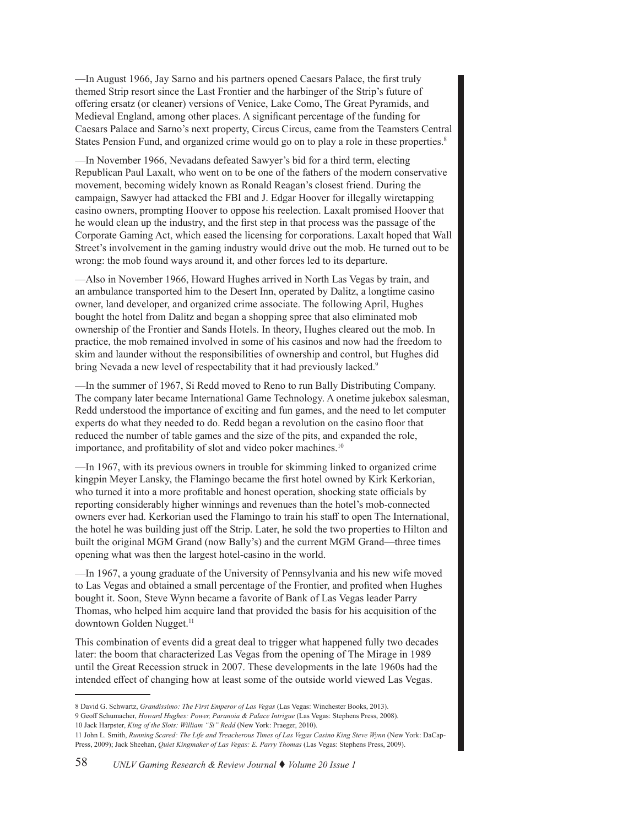—In August 1966, Jay Sarno and his partners opened Caesars Palace, the first truly themed Strip resort since the Last Frontier and the harbinger of the Strip's future of offering ersatz (or cleaner) versions of Venice, Lake Como, The Great Pyramids, and Medieval England, among other places. A significant percentage of the funding for Caesars Palace and Sarno's next property, Circus Circus, came from the Teamsters Central States Pension Fund, and organized crime would go on to play a role in these properties.<sup>8</sup>

—In November 1966, Nevadans defeated Sawyer's bid for a third term, electing Republican Paul Laxalt, who went on to be one of the fathers of the modern conservative movement, becoming widely known as Ronald Reagan's closest friend. During the campaign, Sawyer had attacked the FBI and J. Edgar Hoover for illegally wiretapping casino owners, prompting Hoover to oppose his reelection. Laxalt promised Hoover that he would clean up the industry, and the first step in that process was the passage of the Corporate Gaming Act, which eased the licensing for corporations. Laxalt hoped that Wall Street's involvement in the gaming industry would drive out the mob. He turned out to be wrong: the mob found ways around it, and other forces led to its departure.

—Also in November 1966, Howard Hughes arrived in North Las Vegas by train, and an ambulance transported him to the Desert Inn, operated by Dalitz, a longtime casino owner, land developer, and organized crime associate. The following April, Hughes bought the hotel from Dalitz and began a shopping spree that also eliminated mob ownership of the Frontier and Sands Hotels. In theory, Hughes cleared out the mob. In practice, the mob remained involved in some of his casinos and now had the freedom to skim and launder without the responsibilities of ownership and control, but Hughes did bring Nevada a new level of respectability that it had previously lacked.<sup>9</sup>

—In the summer of 1967, Si Redd moved to Reno to run Bally Distributing Company. The company later became International Game Technology. A onetime jukebox salesman, Redd understood the importance of exciting and fun games, and the need to let computer experts do what they needed to do. Redd began a revolution on the casino floor that reduced the number of table games and the size of the pits, and expanded the role, importance, and profitability of slot and video poker machines.<sup>10</sup>

—In 1967, with its previous owners in trouble for skimming linked to organized crime kingpin Meyer Lansky, the Flamingo became the first hotel owned by Kirk Kerkorian, who turned it into a more profitable and honest operation, shocking state officials by reporting considerably higher winnings and revenues than the hotel's mob-connected owners ever had. Kerkorian used the Flamingo to train his staff to open The International, the hotel he was building just off the Strip. Later, he sold the two properties to Hilton and built the original MGM Grand (now Bally's) and the current MGM Grand—three times opening what was then the largest hotel-casino in the world.

—In 1967, a young graduate of the University of Pennsylvania and his new wife moved to Las Vegas and obtained a small percentage of the Frontier, and profited when Hughes bought it. Soon, Steve Wynn became a favorite of Bank of Las Vegas leader Parry Thomas, who helped him acquire land that provided the basis for his acquisition of the downtown Golden Nugget.<sup>11</sup>

This combination of events did a great deal to trigger what happened fully two decades later: the boom that characterized Las Vegas from the opening of The Mirage in 1989 until the Great Recession struck in 2007. These developments in the late 1960s had the intended effect of changing how at least some of the outside world viewed Las Vegas.

<sup>8</sup> David G. Schwartz, *Grandissimo: The First Emperor of Las Vegas* (Las Vegas: Winchester Books, 2013). 9 Geoff Schumacher, *Howard Hughes: Power, Paranoia & Palace Intrigue* (Las Vegas: Stephens Press, 2008). 10 Jack Harpster, *King of the Slots: William "Si" Redd* (New York: Praeger, 2010).

<sup>11</sup> John L. Smith, *Running Scared: The Life and Treacherous Times of Las Vegas Casino King Steve Wynn* (New York: DaCap-Press, 2009); Jack Sheehan, *Quiet Kingmaker of Las Vegas: E. Parry Thomas* (Las Vegas: Stephens Press, 2009).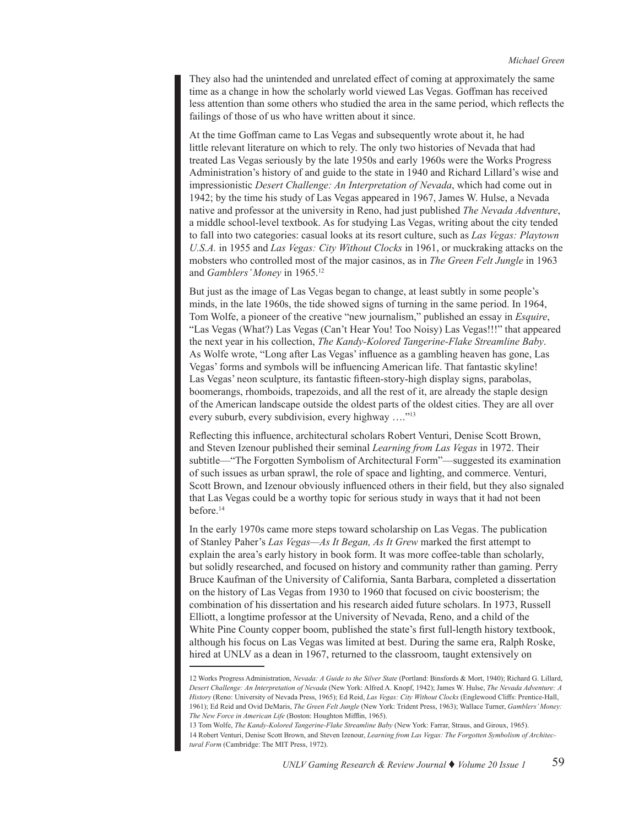They also had the unintended and unrelated effect of coming at approximately the same time as a change in how the scholarly world viewed Las Vegas. Goffman has received less attention than some others who studied the area in the same period, which reflects the failings of those of us who have written about it since.

At the time Goffman came to Las Vegas and subsequently wrote about it, he had little relevant literature on which to rely. The only two histories of Nevada that had treated Las Vegas seriously by the late 1950s and early 1960s were the Works Progress Administration's history of and guide to the state in 1940 and Richard Lillard's wise and impressionistic *Desert Challenge: An Interpretation of Nevada*, which had come out in 1942; by the time his study of Las Vegas appeared in 1967, James W. Hulse, a Nevada native and professor at the university in Reno, had just published *The Nevada Adventure*, a middle school-level textbook. As for studying Las Vegas, writing about the city tended to fall into two categories: casual looks at its resort culture, such as *Las Vegas: Playtown U.S.A.* in 1955 and *Las Vegas: City Without Clocks* in 1961, or muckraking attacks on the mobsters who controlled most of the major casinos, as in *The Green Felt Jungle* in 1963 and *Gamblers' Money* in 1965.12

But just as the image of Las Vegas began to change, at least subtly in some people's minds, in the late 1960s, the tide showed signs of turning in the same period. In 1964, Tom Wolfe, a pioneer of the creative "new journalism," published an essay in *Esquire*, "Las Vegas (What?) Las Vegas (Can't Hear You! Too Noisy) Las Vegas!!!" that appeared the next year in his collection, *The Kandy-Kolored Tangerine-Flake Streamline Baby*. As Wolfe wrote, "Long after Las Vegas' influence as a gambling heaven has gone, Las Vegas' forms and symbols will be influencing American life. That fantastic skyline! Las Vegas' neon sculpture, its fantastic fifteen-story-high display signs, parabolas, boomerangs, rhomboids, trapezoids, and all the rest of it, are already the staple design of the American landscape outside the oldest parts of the oldest cities. They are all over every suburb, every subdivision, every highway …."13

Reflecting this influence, architectural scholars Robert Venturi, Denise Scott Brown, and Steven Izenour published their seminal *Learning from Las Vegas* in 1972. Their subtitle—"The Forgotten Symbolism of Architectural Form"—suggested its examination of such issues as urban sprawl, the role of space and lighting, and commerce. Venturi, Scott Brown, and Izenour obviously influenced others in their field, but they also signaled that Las Vegas could be a worthy topic for serious study in ways that it had not been before.<sup>14</sup>

In the early 1970s came more steps toward scholarship on Las Vegas. The publication of Stanley Paher's *Las Vegas—As It Began, As It Grew* marked the first attempt to explain the area's early history in book form. It was more coffee-table than scholarly, but solidly researched, and focused on history and community rather than gaming. Perry Bruce Kaufman of the University of California, Santa Barbara, completed a dissertation on the history of Las Vegas from 1930 to 1960 that focused on civic boosterism; the combination of his dissertation and his research aided future scholars. In 1973, Russell Elliott, a longtime professor at the University of Nevada, Reno, and a child of the White Pine County copper boom, published the state's first full-length history textbook, although his focus on Las Vegas was limited at best. During the same era, Ralph Roske, hired at UNLV as a dean in 1967, returned to the classroom, taught extensively on

<sup>12</sup> Works Progress Administration, *Nevada: A Guide to the Silver State* (Portland: Binsfords & Mort, 1940); Richard G. Lillard, *Desert Challenge: An Interpretation of Nevada* (New York: Alfred A. Knopf, 1942); James W. Hulse, *The Nevada Adventure: A History* (Reno: University of Nevada Press, 1965); Ed Reid, *Las Vegas: City Without Clocks* (Englewood Cliffs: Prentice-Hall, 1961); Ed Reid and Ovid DeMaris, *The Green Felt Jungle* (New York: Trident Press, 1963); Wallace Turner, *Gamblers' Money: The New Force in American Life* (Boston: Houghton Mifflin, 1965).

<sup>13</sup> Tom Wolfe, *The Kandy-Kolored Tangerine-Flake Streamline Baby* (New York: Farrar, Straus, and Giroux, 1965). 14 Robert Venturi, Denise Scott Brown, and Steven Izenour, *Learning from Las Vegas: The Forgotten Symbolism of Architectural Form* (Cambridge: The MIT Press, 1972).